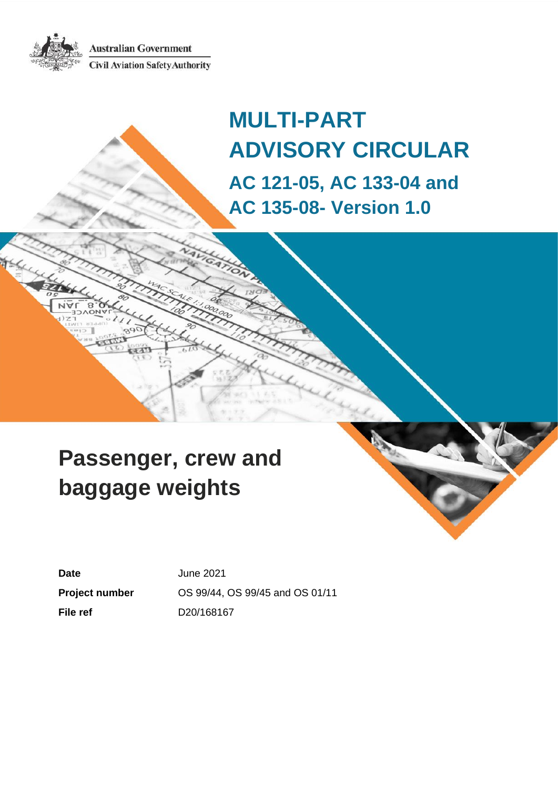**Australian Government Civil Aviation Safety Authority** 



# **Passenger, crew and baggage weights**

**Date** June 2021

**Project number** OS 99/44, OS 99/45 and OS 01/11 **File ref** D20/168167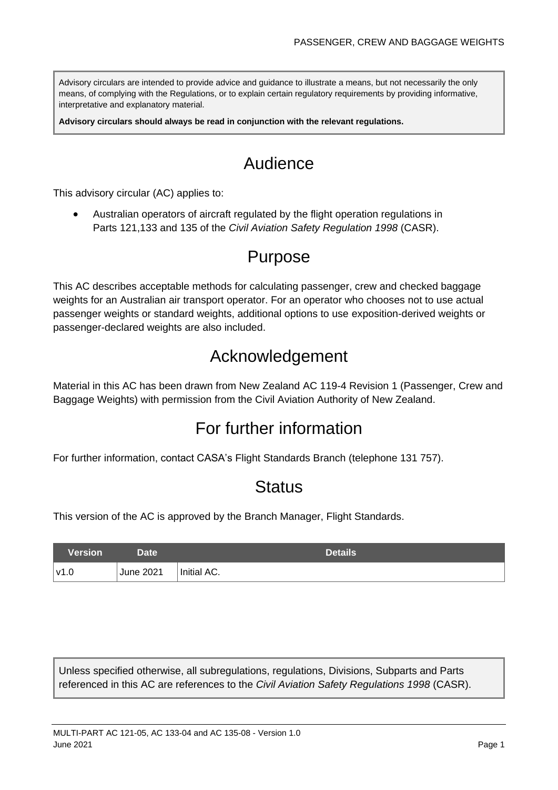Advisory circulars are intended to provide advice and guidance to illustrate a means, but not necessarily the only means, of complying with the Regulations, or to explain certain regulatory requirements by providing informative, interpretative and explanatory material.

**Advisory circulars should always be read in conjunction with the relevant regulations.**

# Audience

This advisory circular (AC) applies to:

• Australian operators of aircraft regulated by the flight operation regulations in Parts 121,133 and 135 of the *Civil Aviation Safety Regulation 1998* (CASR).

## Purpose

This AC describes acceptable methods for calculating passenger, crew and checked baggage weights for an Australian air transport operator. For an operator who chooses not to use actual passenger weights or standard weights, additional options to use exposition-derived weights or passenger-declared weights are also included.

# Acknowledgement

Material in this AC has been drawn from New Zealand AC 119-4 Revision 1 (Passenger, Crew and Baggage Weights) with permission from the Civil Aviation Authority of New Zealand.

# For further information

For further information, contact CASA's Flight Standards Branch (telephone 131 757).

### **Status**

This version of the AC is approved by the Branch Manager, Flight Standards.

| Version | Date <sup>1</sup> | <b>Details</b> |
|---------|-------------------|----------------|
| ∣v1.0   | June 2021         | Initial AC.    |

Unless specified otherwise, all subregulations, regulations, Divisions, Subparts and Parts referenced in this AC are references to the *Civil Aviation Safety Regulations 1998* (CASR).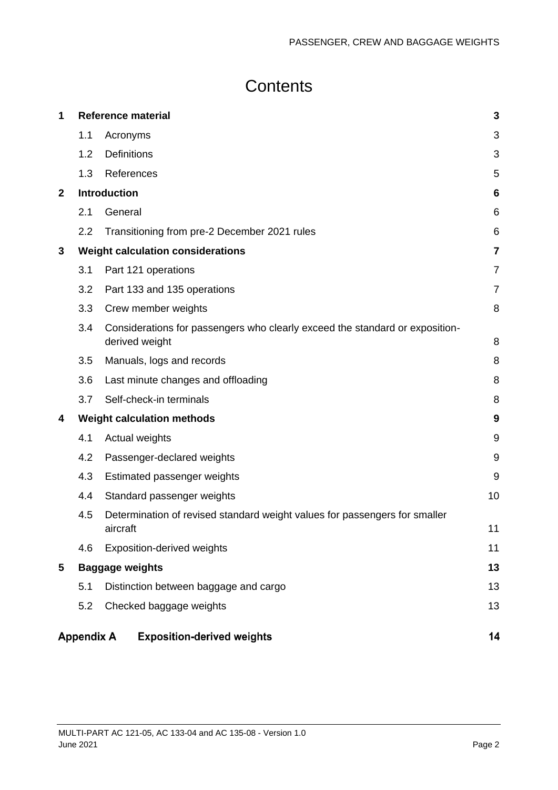# **Contents**

| 1            |                        |                     | <b>Reference material</b>                                                                      | $\mathbf{3}$   |  |  |
|--------------|------------------------|---------------------|------------------------------------------------------------------------------------------------|----------------|--|--|
|              | 1.1                    | Acronyms            |                                                                                                | 3              |  |  |
|              | 1.2                    | <b>Definitions</b>  |                                                                                                | 3              |  |  |
|              | 1.3                    | References          |                                                                                                | 5              |  |  |
| $\mathbf{2}$ |                        | <b>Introduction</b> |                                                                                                | 6              |  |  |
|              | 2.1                    | General             |                                                                                                | 6              |  |  |
|              | 2.2                    |                     | Transitioning from pre-2 December 2021 rules                                                   | $\,6$          |  |  |
| 3            |                        |                     | <b>Weight calculation considerations</b>                                                       | $\overline{7}$ |  |  |
|              | 3.1                    |                     | Part 121 operations                                                                            | $\overline{7}$ |  |  |
|              | 3.2                    |                     | Part 133 and 135 operations                                                                    | $\overline{7}$ |  |  |
|              | 3.3                    |                     | Crew member weights                                                                            | 8              |  |  |
|              | 3.4                    |                     | Considerations for passengers who clearly exceed the standard or exposition-<br>derived weight | 8              |  |  |
|              | 3.5                    |                     | Manuals, logs and records                                                                      | 8              |  |  |
|              | 3.6                    |                     | Last minute changes and offloading                                                             | 8              |  |  |
|              | 3.7                    |                     | Self-check-in terminals                                                                        | 8              |  |  |
| 4            |                        |                     | <b>Weight calculation methods</b>                                                              | 9              |  |  |
|              | 4.1                    |                     | Actual weights                                                                                 | 9              |  |  |
|              | 4.2                    |                     | Passenger-declared weights                                                                     | 9              |  |  |
|              | 4.3                    |                     | Estimated passenger weights                                                                    | 9              |  |  |
|              | 4.4                    |                     | Standard passenger weights                                                                     | 10             |  |  |
|              | 4.5                    | aircraft            | Determination of revised standard weight values for passengers for smaller                     | 11             |  |  |
|              | 4.6                    |                     | <b>Exposition-derived weights</b>                                                              | 11             |  |  |
| 5            | <b>Baggage weights</b> |                     |                                                                                                |                |  |  |
|              | 5.1                    |                     | Distinction between baggage and cargo                                                          | 13             |  |  |
|              | 5.2                    |                     | Checked baggage weights                                                                        | 13             |  |  |
|              | <b>Appendix A</b>      |                     | <b>Exposition-derived weights</b>                                                              | 14             |  |  |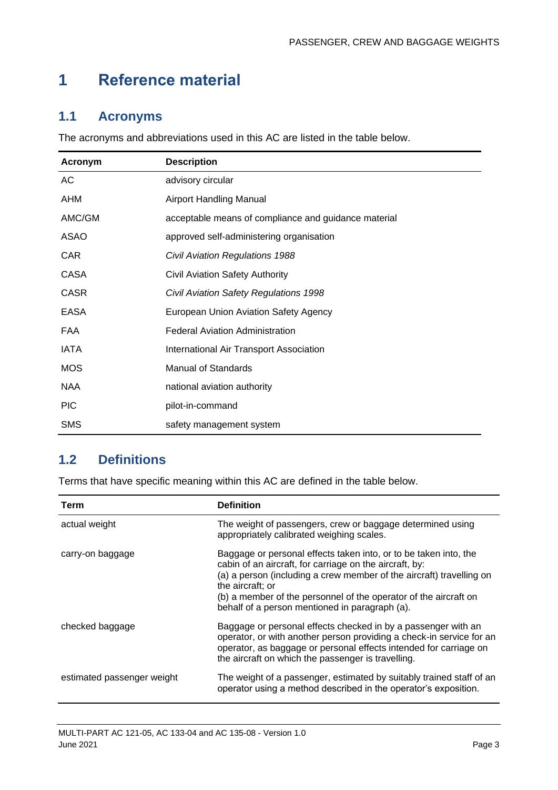# <span id="page-3-0"></span>**1 Reference material**

### <span id="page-3-1"></span>**1.1 Acronyms**

The acronyms and abbreviations used in this AC are listed in the table below.

| <b>Acronym</b> | <b>Description</b>                                   |
|----------------|------------------------------------------------------|
| AC             | advisory circular                                    |
| AHM            | <b>Airport Handling Manual</b>                       |
| AMC/GM         | acceptable means of compliance and guidance material |
| <b>ASAO</b>    | approved self-administering organisation             |
| <b>CAR</b>     | <b>Civil Aviation Regulations 1988</b>               |
| <b>CASA</b>    | Civil Aviation Safety Authority                      |
| <b>CASR</b>    | Civil Aviation Safety Regulations 1998               |
| <b>EASA</b>    | European Union Aviation Safety Agency                |
| FAA            | <b>Federal Aviation Administration</b>               |
| <b>IATA</b>    | International Air Transport Association              |
| <b>MOS</b>     | <b>Manual of Standards</b>                           |
| <b>NAA</b>     | national aviation authority                          |
| <b>PIC</b>     | pilot-in-command                                     |
| <b>SMS</b>     | safety management system                             |

### <span id="page-3-2"></span>**1.2 Definitions**

Terms that have specific meaning within this AC are defined in the table below.

| Term                       | <b>Definition</b>                                                                                                                                                                                                                                                                                                                             |
|----------------------------|-----------------------------------------------------------------------------------------------------------------------------------------------------------------------------------------------------------------------------------------------------------------------------------------------------------------------------------------------|
| actual weight              | The weight of passengers, crew or baggage determined using<br>appropriately calibrated weighing scales.                                                                                                                                                                                                                                       |
| carry-on baggage           | Baggage or personal effects taken into, or to be taken into, the<br>cabin of an aircraft, for carriage on the aircraft, by:<br>(a) a person (including a crew member of the aircraft) travelling on<br>the aircraft; or<br>(b) a member of the personnel of the operator of the aircraft on<br>behalf of a person mentioned in paragraph (a). |
| checked baggage            | Baggage or personal effects checked in by a passenger with an<br>operator, or with another person providing a check-in service for an<br>operator, as baggage or personal effects intended for carriage on<br>the aircraft on which the passenger is travelling.                                                                              |
| estimated passenger weight | The weight of a passenger, estimated by suitably trained staff of an<br>operator using a method described in the operator's exposition.                                                                                                                                                                                                       |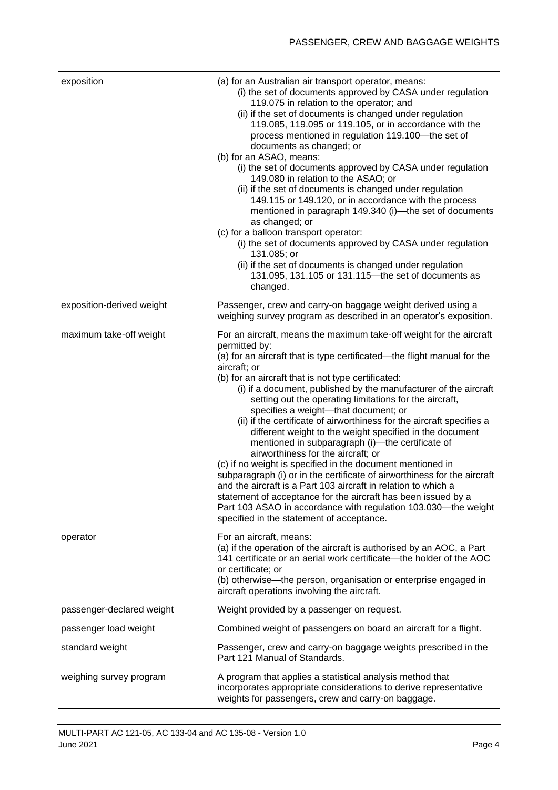| exposition                | (a) for an Australian air transport operator, means:<br>(i) the set of documents approved by CASA under regulation<br>119.075 in relation to the operator; and<br>(ii) if the set of documents is changed under regulation<br>119.085, 119.095 or 119.105, or in accordance with the<br>process mentioned in regulation 119.100—the set of<br>documents as changed; or<br>(b) for an ASAO, means:<br>(i) the set of documents approved by CASA under regulation<br>149.080 in relation to the ASAO; or<br>(ii) if the set of documents is changed under regulation<br>149.115 or 149.120, or in accordance with the process<br>mentioned in paragraph 149.340 (i)—the set of documents<br>as changed; or<br>(c) for a balloon transport operator:<br>(i) the set of documents approved by CASA under regulation<br>131.085; or<br>(ii) if the set of documents is changed under regulation<br>131.095, 131.105 or 131.115-the set of documents as<br>changed.                                                                           |
|---------------------------|-----------------------------------------------------------------------------------------------------------------------------------------------------------------------------------------------------------------------------------------------------------------------------------------------------------------------------------------------------------------------------------------------------------------------------------------------------------------------------------------------------------------------------------------------------------------------------------------------------------------------------------------------------------------------------------------------------------------------------------------------------------------------------------------------------------------------------------------------------------------------------------------------------------------------------------------------------------------------------------------------------------------------------------------|
| exposition-derived weight | Passenger, crew and carry-on baggage weight derived using a<br>weighing survey program as described in an operator's exposition.                                                                                                                                                                                                                                                                                                                                                                                                                                                                                                                                                                                                                                                                                                                                                                                                                                                                                                        |
| maximum take-off weight   | For an aircraft, means the maximum take-off weight for the aircraft<br>permitted by:<br>(a) for an aircraft that is type certificated—the flight manual for the<br>aircraft; or<br>(b) for an aircraft that is not type certificated:<br>(i) if a document, published by the manufacturer of the aircraft<br>setting out the operating limitations for the aircraft,<br>specifies a weight-that document; or<br>(ii) if the certificate of airworthiness for the aircraft specifies a<br>different weight to the weight specified in the document<br>mentioned in subparagraph (i)-the certificate of<br>airworthiness for the aircraft; or<br>(c) if no weight is specified in the document mentioned in<br>subparagraph (i) or in the certificate of airworthiness for the aircraft<br>and the aircraft is a Part 103 aircraft in relation to which a<br>statement of acceptance for the aircraft has been issued by a<br>Part 103 ASAO in accordance with regulation 103.030—the weight<br>specified in the statement of acceptance. |
| operator                  | For an aircraft, means:<br>(a) if the operation of the aircraft is authorised by an AOC, a Part<br>141 certificate or an aerial work certificate—the holder of the AOC<br>or certificate; or<br>(b) otherwise—the person, organisation or enterprise engaged in<br>aircraft operations involving the aircraft.                                                                                                                                                                                                                                                                                                                                                                                                                                                                                                                                                                                                                                                                                                                          |
| passenger-declared weight | Weight provided by a passenger on request.                                                                                                                                                                                                                                                                                                                                                                                                                                                                                                                                                                                                                                                                                                                                                                                                                                                                                                                                                                                              |
| passenger load weight     | Combined weight of passengers on board an aircraft for a flight.                                                                                                                                                                                                                                                                                                                                                                                                                                                                                                                                                                                                                                                                                                                                                                                                                                                                                                                                                                        |
| standard weight           | Passenger, crew and carry-on baggage weights prescribed in the<br>Part 121 Manual of Standards.                                                                                                                                                                                                                                                                                                                                                                                                                                                                                                                                                                                                                                                                                                                                                                                                                                                                                                                                         |
| weighing survey program   | A program that applies a statistical analysis method that<br>incorporates appropriate considerations to derive representative<br>weights for passengers, crew and carry-on baggage.                                                                                                                                                                                                                                                                                                                                                                                                                                                                                                                                                                                                                                                                                                                                                                                                                                                     |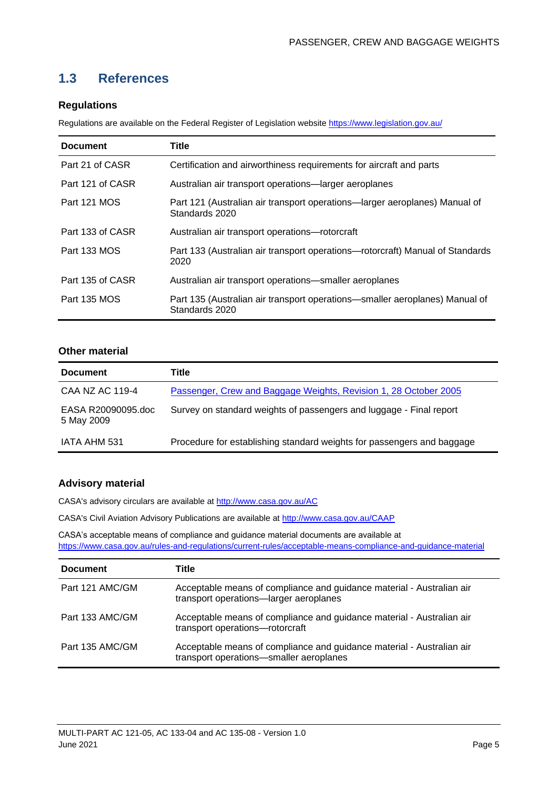### <span id="page-5-0"></span>**1.3 References**

#### **Regulations**

Regulations are available on the Federal Register of Legislation website<https://www.legislation.gov.au/>

| <b>Document</b>  | Title                                                                                         |
|------------------|-----------------------------------------------------------------------------------------------|
| Part 21 of CASR  | Certification and airworthiness requirements for aircraft and parts                           |
| Part 121 of CASR | Australian air transport operations-larger aeroplanes                                         |
| Part 121 MOS     | Part 121 (Australian air transport operations—larger aeroplanes) Manual of<br>Standards 2020  |
| Part 133 of CASR | Australian air transport operations-rotorcraft                                                |
| Part 133 MOS     | Part 133 (Australian air transport operations-rotorcraft) Manual of Standards<br>2020         |
| Part 135 of CASR | Australian air transport operations—smaller aeroplanes                                        |
| Part 135 MOS     | Part 135 (Australian air transport operations—smaller aeroplanes) Manual of<br>Standards 2020 |

#### **Other material**

| <b>Document</b>                  | Title                                                                  |  |  |  |  |  |  |
|----------------------------------|------------------------------------------------------------------------|--|--|--|--|--|--|
| CAA NZ AC 119-4                  | Passenger, Crew and Baggage Weights, Revision 1, 28 October 2005       |  |  |  |  |  |  |
| EASA R20090095.doc<br>5 May 2009 | Survey on standard weights of passengers and luggage - Final report    |  |  |  |  |  |  |
| IATA AHM 531                     | Procedure for establishing standard weights for passengers and baggage |  |  |  |  |  |  |

#### **Advisory material**

CASA's advisory circulars are available at [http://www.casa.gov.au/AC](http://www.casa.gov.au/ACs)

CASA's Civil Aviation Advisory Publications are available at [http://www.casa.gov.au/CAAP](http://www.casa.gov.au/CAAPs)

CASA's acceptable means of compliance and guidance material documents are available at <https://www.casa.gov.au/rules-and-regulations/current-rules/acceptable-means-compliance-and-guidance-material>

| <b>Document</b> | Title                                                                                                            |
|-----------------|------------------------------------------------------------------------------------------------------------------|
| Part 121 AMC/GM | Acceptable means of compliance and guidance material - Australian air<br>transport operations-larger aeroplanes  |
| Part 133 AMC/GM | Acceptable means of compliance and guidance material - Australian air<br>transport operations-rotorcraft         |
| Part 135 AMC/GM | Acceptable means of compliance and guidance material - Australian air<br>transport operations-smaller aeroplanes |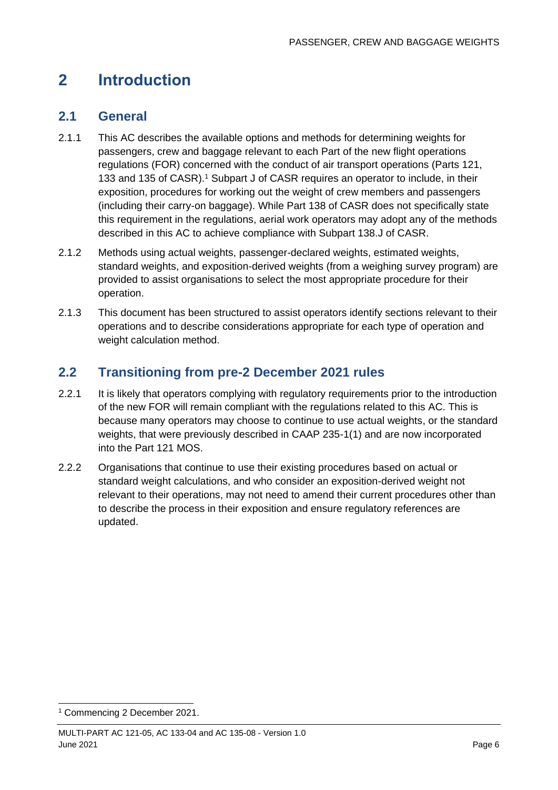# <span id="page-6-0"></span>**2 Introduction**

### <span id="page-6-1"></span>**2.1 General**

- 2.1.1 This AC describes the available options and methods for determining weights for passengers, crew and baggage relevant to each Part of the new flight operations regulations (FOR) concerned with the conduct of air transport operations (Parts 121, 133 and 135 of CASR). <sup>1</sup> Subpart J of CASR requires an operator to include, in their exposition, procedures for working out the weight of crew members and passengers (including their carry-on baggage). While Part 138 of CASR does not specifically state this requirement in the regulations, aerial work operators may adopt any of the methods described in this AC to achieve compliance with Subpart 138.J of CASR.
- 2.1.2 Methods using actual weights, passenger-declared weights, estimated weights, standard weights, and exposition-derived weights (from a weighing survey program) are provided to assist organisations to select the most appropriate procedure for their operation.
- 2.1.3 This document has been structured to assist operators identify sections relevant to their operations and to describe considerations appropriate for each type of operation and weight calculation method.

### <span id="page-6-2"></span>**2.2 Transitioning from pre-2 December 2021 rules**

- 2.2.1 It is likely that operators complying with regulatory requirements prior to the introduction of the new FOR will remain compliant with the regulations related to this AC. This is because many operators may choose to continue to use actual weights, or the standard weights, that were previously described in CAAP 235-1(1) and are now incorporated into the Part 121 MOS.
- 2.2.2 Organisations that continue to use their existing procedures based on actual or standard weight calculations, and who consider an exposition-derived weight not relevant to their operations, may not need to amend their current procedures other than to describe the process in their exposition and ensure regulatory references are updated.

<sup>1</sup> Commencing 2 December 2021.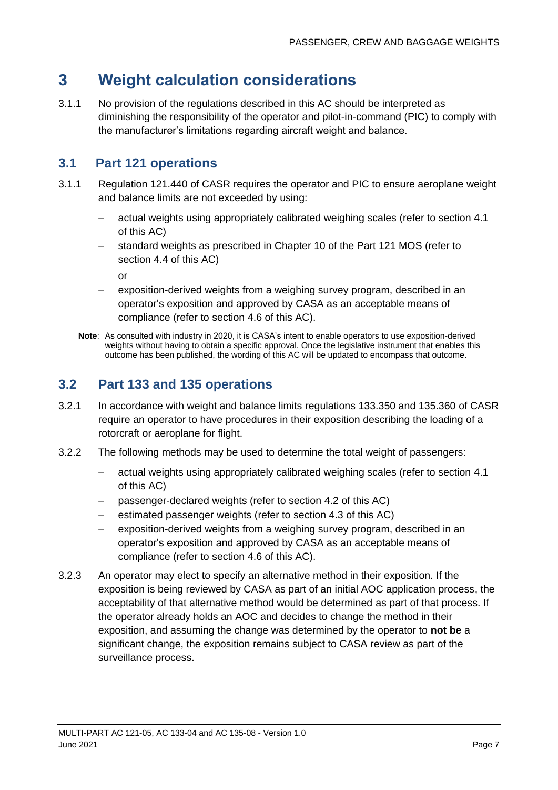## <span id="page-7-0"></span>**3 Weight calculation considerations**

3.1.1 No provision of the regulations described in this AC should be interpreted as diminishing the responsibility of the operator and pilot-in-command (PIC) to comply with the manufacturer's limitations regarding aircraft weight and balance.

### <span id="page-7-1"></span>**3.1 Part 121 operations**

- 3.1.1 Regulation 121.440 of CASR requires the operator and PIC to ensure aeroplane weight and balance limits are not exceeded by using:
	- − actual weights using appropriately calibrated weighing scales (refer to section [4.1](#page-9-1) of this AC)
	- − standard weights as prescribed in Chapter 10 of the Part 121 MOS (refer to section [4.4](#page-10-0) of this AC)

or

- exposition-derived weights from a weighing survey program, described in an operator's exposition and approved by CASA as an acceptable means of compliance (refer to section 4.6 of this AC).
- **Note**: As consulted with industry in 2020, it is CASA's intent to enable operators to use exposition-derived weights without having to obtain a specific approval. Once the legislative instrument that enables this outcome has been published, the wording of this AC will be updated to encompass that outcome.

### <span id="page-7-2"></span>**3.2 Part 133 and 135 operations**

- 3.2.1 In accordance with weight and balance limits regulations 133.350 and 135.360 of CASR require an operator to have procedures in their exposition describing the loading of a rotorcraft or aeroplane for flight.
- 3.2.2 The following methods may be used to determine the total weight of passengers:
	- actual weights using appropriately calibrated weighing scales (refer to section [4.1](#page-9-1) of this AC)
	- passenger-declared weights (refer to section [4.2](#page-9-2) of this AC)
	- estimated passenger weights (refer to section [4.3](#page-9-3) of this AC)
	- − exposition-derived weights from a weighing survey program, described in an operator's exposition and approved by CASA as an acceptable means of compliance (refer to section 4.6 of this AC).
- 3.2.3 An operator may elect to specify an alternative method in their exposition. If the exposition is being reviewed by CASA as part of an initial AOC application process, the acceptability of that alternative method would be determined as part of that process. If the operator already holds an AOC and decides to change the method in their exposition, and assuming the change was determined by the operator to **not be** a significant change, the exposition remains subject to CASA review as part of the surveillance process.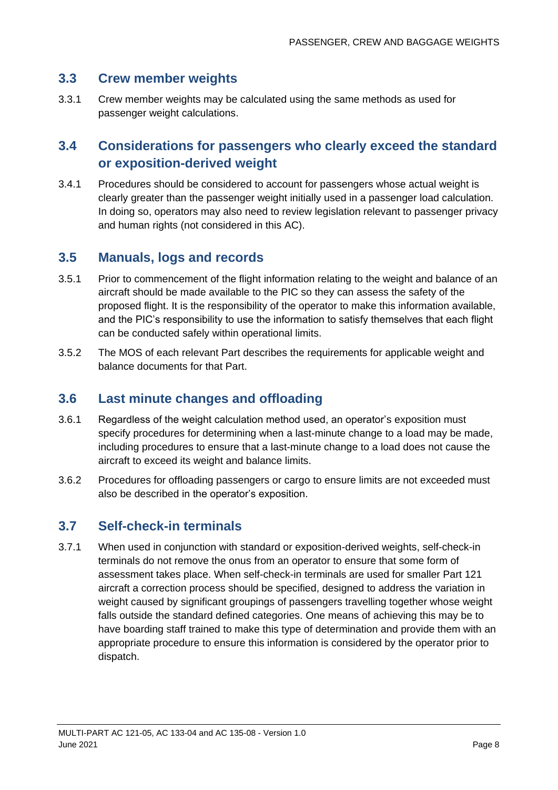### <span id="page-8-0"></span>**3.3 Crew member weights**

3.3.1 Crew member weights may be calculated using the same methods as used for passenger weight calculations.

### <span id="page-8-1"></span>**3.4 Considerations for passengers who clearly exceed the standard or exposition-derived weight**

3.4.1 Procedures should be considered to account for passengers whose actual weight is clearly greater than the passenger weight initially used in a passenger load calculation. In doing so, operators may also need to review legislation relevant to passenger privacy and human rights (not considered in this AC).

### <span id="page-8-2"></span>**3.5 Manuals, logs and records**

- 3.5.1 Prior to commencement of the flight information relating to the weight and balance of an aircraft should be made available to the PIC so they can assess the safety of the proposed flight. It is the responsibility of the operator to make this information available, and the PIC's responsibility to use the information to satisfy themselves that each flight can be conducted safely within operational limits.
- 3.5.2 The MOS of each relevant Part describes the requirements for applicable weight and balance documents for that Part.

### <span id="page-8-3"></span>**3.6 Last minute changes and offloading**

- 3.6.1 Regardless of the weight calculation method used, an operator's exposition must specify procedures for determining when a last-minute change to a load may be made, including procedures to ensure that a last-minute change to a load does not cause the aircraft to exceed its weight and balance limits.
- 3.6.2 Procedures for offloading passengers or cargo to ensure limits are not exceeded must also be described in the operator's exposition.

### <span id="page-8-4"></span>**3.7 Self-check-in terminals**

3.7.1 When used in conjunction with standard or exposition-derived weights, self-check-in terminals do not remove the onus from an operator to ensure that some form of assessment takes place. When self-check-in terminals are used for smaller Part 121 aircraft a correction process should be specified, designed to address the variation in weight caused by significant groupings of passengers travelling together whose weight falls outside the standard defined categories. One means of achieving this may be to have boarding staff trained to make this type of determination and provide them with an appropriate procedure to ensure this information is considered by the operator prior to dispatch.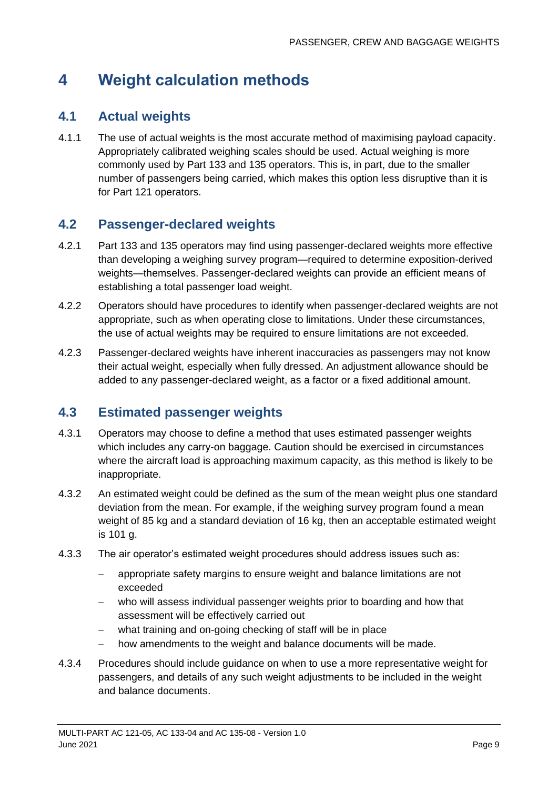# <span id="page-9-0"></span>**4 Weight calculation methods**

### <span id="page-9-1"></span>**4.1 Actual weights**

4.1.1 The use of actual weights is the most accurate method of maximising payload capacity. Appropriately calibrated weighing scales should be used. Actual weighing is more commonly used by Part 133 and 135 operators. This is, in part, due to the smaller number of passengers being carried, which makes this option less disruptive than it is for Part 121 operators.

### <span id="page-9-2"></span>**4.2 Passenger-declared weights**

- 4.2.1 Part 133 and 135 operators may find using passenger-declared weights more effective than developing a weighing survey program—required to determine exposition-derived weights—themselves. Passenger-declared weights can provide an efficient means of establishing a total passenger load weight.
- 4.2.2 Operators should have procedures to identify when passenger-declared weights are not appropriate, such as when operating close to limitations. Under these circumstances, the use of actual weights may be required to ensure limitations are not exceeded.
- 4.2.3 Passenger-declared weights have inherent inaccuracies as passengers may not know their actual weight, especially when fully dressed. An adjustment allowance should be added to any passenger-declared weight, as a factor or a fixed additional amount.

### <span id="page-9-3"></span>**4.3 Estimated passenger weights**

- 4.3.1 Operators may choose to define a method that uses estimated passenger weights which includes any carry-on baggage. Caution should be exercised in circumstances where the aircraft load is approaching maximum capacity, as this method is likely to be inappropriate.
- 4.3.2 An estimated weight could be defined as the sum of the mean weight plus one standard deviation from the mean. For example, if the weighing survey program found a mean weight of 85 kg and a standard deviation of 16 kg, then an acceptable estimated weight is 101 g.
- 4.3.3 The air operator's estimated weight procedures should address issues such as:
	- − appropriate safety margins to ensure weight and balance limitations are not exceeded
	- − who will assess individual passenger weights prior to boarding and how that assessment will be effectively carried out
	- − what training and on-going checking of staff will be in place
	- − how amendments to the weight and balance documents will be made.
- 4.3.4 Procedures should include guidance on when to use a more representative weight for passengers, and details of any such weight adjustments to be included in the weight and balance documents.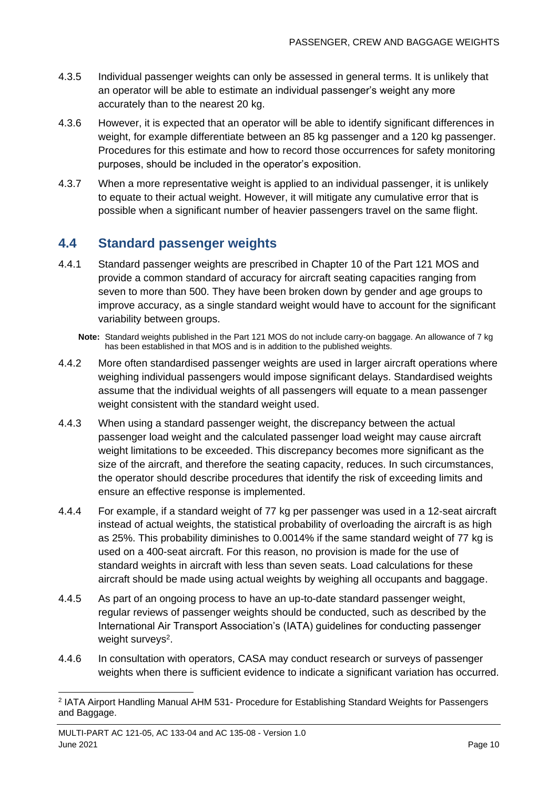- 4.3.5 Individual passenger weights can only be assessed in general terms. It is unlikely that an operator will be able to estimate an individual passenger's weight any more accurately than to the nearest 20 kg.
- 4.3.6 However, it is expected that an operator will be able to identify significant differences in weight, for example differentiate between an 85 kg passenger and a 120 kg passenger. Procedures for this estimate and how to record those occurrences for safety monitoring purposes, should be included in the operator's exposition.
- 4.3.7 When a more representative weight is applied to an individual passenger, it is unlikely to equate to their actual weight. However, it will mitigate any cumulative error that is possible when a significant number of heavier passengers travel on the same flight.

### <span id="page-10-0"></span>**4.4 Standard passenger weights**

- 4.4.1 Standard passenger weights are prescribed in Chapter 10 of the Part 121 MOS and provide a common standard of accuracy for aircraft seating capacities ranging from seven to more than 500. They have been broken down by gender and age groups to improve accuracy, as a single standard weight would have to account for the significant variability between groups.
	- **Note:** Standard weights published in the Part 121 MOS do not include carry-on baggage. An allowance of 7 kg has been established in that MOS and is in addition to the published weights.
- 4.4.2 More often standardised passenger weights are used in larger aircraft operations where weighing individual passengers would impose significant delays. Standardised weights assume that the individual weights of all passengers will equate to a mean passenger weight consistent with the standard weight used.
- 4.4.3 When using a standard passenger weight, the discrepancy between the actual passenger load weight and the calculated passenger load weight may cause aircraft weight limitations to be exceeded. This discrepancy becomes more significant as the size of the aircraft, and therefore the seating capacity, reduces. In such circumstances, the operator should describe procedures that identify the risk of exceeding limits and ensure an effective response is implemented.
- 4.4.4 For example, if a standard weight of 77 kg per passenger was used in a 12-seat aircraft instead of actual weights, the statistical probability of overloading the aircraft is as high as 25%. This probability diminishes to 0.0014% if the same standard weight of 77 kg is used on a 400-seat aircraft. For this reason, no provision is made for the use of standard weights in aircraft with less than seven seats. Load calculations for these aircraft should be made using actual weights by weighing all occupants and baggage.
- 4.4.5 As part of an ongoing process to have an up-to-date standard passenger weight, regular reviews of passenger weights should be conducted, such as described by the International Air Transport Association's (IATA) guidelines for conducting passenger weight surveys<sup>2</sup>.
- 4.4.6 In consultation with operators, CASA may conduct research or surveys of passenger weights when there is sufficient evidence to indicate a significant variation has occurred.

<sup>2</sup> IATA Airport Handling Manual AHM 531- Procedure for Establishing Standard Weights for Passengers and Baggage.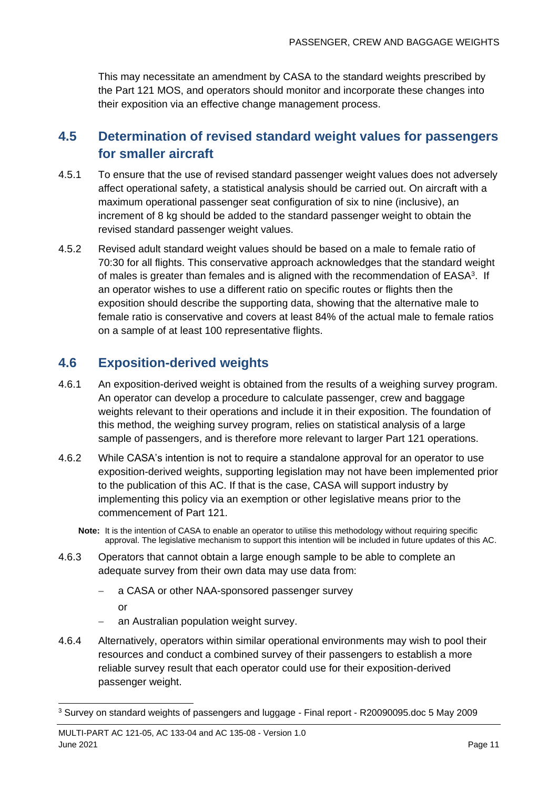This may necessitate an amendment by CASA to the standard weights prescribed by the Part 121 MOS, and operators should monitor and incorporate these changes into their exposition via an effective change management process.

### <span id="page-11-0"></span>**4.5 Determination of revised standard weight values for passengers for smaller aircraft**

- 4.5.1 To ensure that the use of revised standard passenger weight values does not adversely affect operational safety, a statistical analysis should be carried out. On aircraft with a maximum operational passenger seat configuration of six to nine (inclusive), an increment of 8 kg should be added to the standard passenger weight to obtain the revised standard passenger weight values.
- 4.5.2 Revised adult standard weight values should be based on a male to female ratio of 70:30 for all flights. This conservative approach acknowledges that the standard weight of males is greater than females and is aligned with the recommendation of EASA<sup>3</sup>. If an operator wishes to use a different ratio on specific routes or flights then the exposition should describe the supporting data, showing that the alternative male to female ratio is conservative and covers at least 84% of the actual male to female ratios on a sample of at least 100 representative flights.

### <span id="page-11-1"></span>**4.6 Exposition-derived weights**

- 4.6.1 An exposition-derived weight is obtained from the results of a weighing survey program. An operator can develop a procedure to calculate passenger, crew and baggage weights relevant to their operations and include it in their exposition. The foundation of this method, the weighing survey program, relies on statistical analysis of a large sample of passengers, and is therefore more relevant to larger Part 121 operations.
- 4.6.2 While CASA's intention is not to require a standalone approval for an operator to use exposition-derived weights, supporting legislation may not have been implemented prior to the publication of this AC. If that is the case, CASA will support industry by implementing this policy via an exemption or other legislative means prior to the commencement of Part 121.
	- **Note:** It is the intention of CASA to enable an operator to utilise this methodology without requiring specific approval. The legislative mechanism to support this intention will be included in future updates of this AC.
- 4.6.3 Operators that cannot obtain a large enough sample to be able to complete an adequate survey from their own data may use data from:
	- − a CASA or other NAA-sponsored passenger survey
		- or
		- an Australian population weight survey.
- 4.6.4 Alternatively, operators within similar operational environments may wish to pool their resources and conduct a combined survey of their passengers to establish a more reliable survey result that each operator could use for their exposition-derived passenger weight.

<sup>3</sup> Survey on standard weights of passengers and luggage - Final report - R20090095.doc 5 May 2009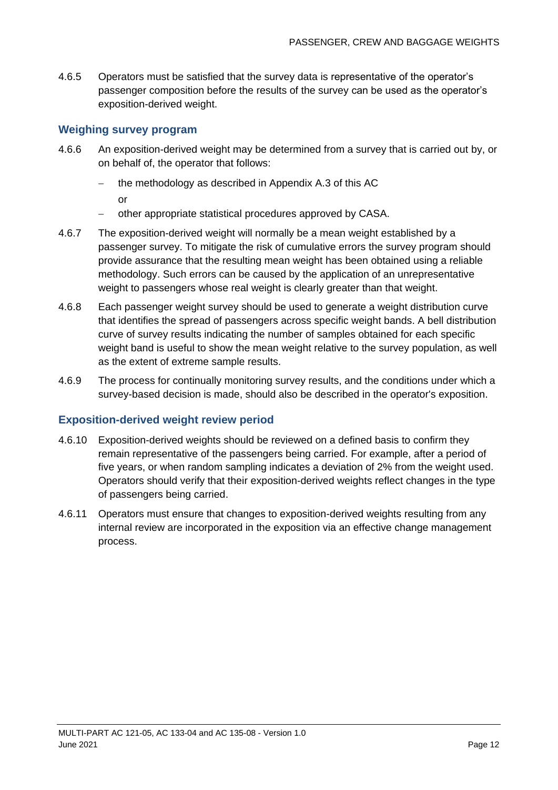4.6.5 Operators must be satisfied that the survey data is representative of the operator's passenger composition before the results of the survey can be used as the operator's exposition-derived weight.

#### **Weighing survey program**

- 4.6.6 An exposition-derived weight may be determined from a survey that is carried out by, or on behalf of, the operator that follows:
	- − the methodology as described in Appendix A.3 of this AC or
	- − other appropriate statistical procedures approved by CASA.
- 4.6.7 The exposition-derived weight will normally be a mean weight established by a passenger survey. To mitigate the risk of cumulative errors the survey program should provide assurance that the resulting mean weight has been obtained using a reliable methodology. Such errors can be caused by the application of an unrepresentative weight to passengers whose real weight is clearly greater than that weight.
- 4.6.8 Each passenger weight survey should be used to generate a weight distribution curve that identifies the spread of passengers across specific weight bands. A bell distribution curve of survey results indicating the number of samples obtained for each specific weight band is useful to show the mean weight relative to the survey population, as well as the extent of extreme sample results.
- 4.6.9 The process for continually monitoring survey results, and the conditions under which a survey-based decision is made, should also be described in the operator's exposition.

#### **Exposition-derived weight review period**

- 4.6.10 Exposition-derived weights should be reviewed on a defined basis to confirm they remain representative of the passengers being carried. For example, after a period of five years, or when random sampling indicates a deviation of 2% from the weight used. Operators should verify that their exposition-derived weights reflect changes in the type of passengers being carried.
- 4.6.11 Operators must ensure that changes to exposition-derived weights resulting from any internal review are incorporated in the exposition via an effective change management process.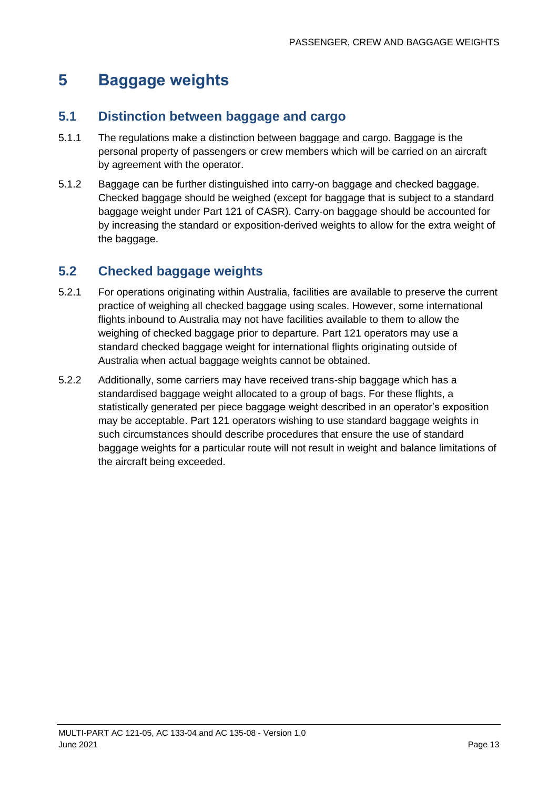# <span id="page-13-0"></span>**5 Baggage weights**

### <span id="page-13-1"></span>**5.1 Distinction between baggage and cargo**

- 5.1.1 The regulations make a distinction between baggage and cargo. Baggage is the personal property of passengers or crew members which will be carried on an aircraft by agreement with the operator.
- 5.1.2 Baggage can be further distinguished into carry-on baggage and checked baggage. Checked baggage should be weighed (except for baggage that is subject to a standard baggage weight under Part 121 of CASR). Carry-on baggage should be accounted for by increasing the standard or exposition-derived weights to allow for the extra weight of the baggage.

### <span id="page-13-2"></span>**5.2 Checked baggage weights**

- 5.2.1 For operations originating within Australia, facilities are available to preserve the current practice of weighing all checked baggage using scales. However, some international flights inbound to Australia may not have facilities available to them to allow the weighing of checked baggage prior to departure. Part 121 operators may use a standard checked baggage weight for international flights originating outside of Australia when actual baggage weights cannot be obtained.
- 5.2.2 Additionally, some carriers may have received trans-ship baggage which has a standardised baggage weight allocated to a group of bags. For these flights, a statistically generated per piece baggage weight described in an operator's exposition may be acceptable. Part 121 operators wishing to use standard baggage weights in such circumstances should describe procedures that ensure the use of standard baggage weights for a particular route will not result in weight and balance limitations of the aircraft being exceeded.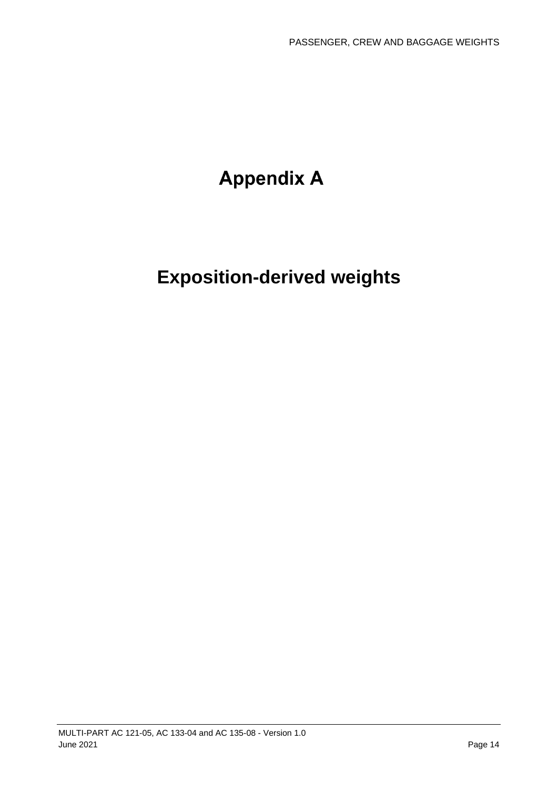# **Appendix A**

# **Exposition-derived weights**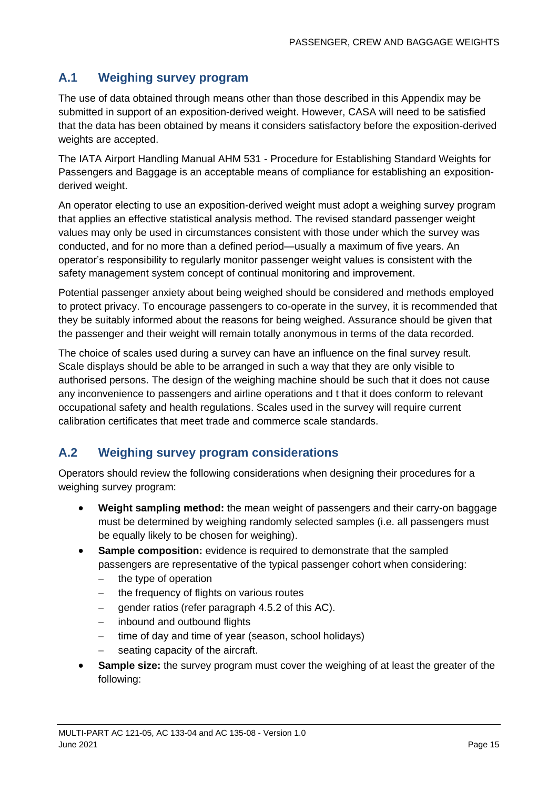### **A.1 Weighing survey program**

The use of data obtained through means other than those described in this Appendix may be submitted in support of an exposition-derived weight. However, CASA will need to be satisfied that the data has been obtained by means it considers satisfactory before the exposition-derived weights are accepted.

The IATA Airport Handling Manual AHM 531 - Procedure for Establishing Standard Weights for Passengers and Baggage is an acceptable means of compliance for establishing an expositionderived weight.

An operator electing to use an exposition-derived weight must adopt a weighing survey program that applies an effective statistical analysis method. The revised standard passenger weight values may only be used in circumstances consistent with those under which the survey was conducted, and for no more than a defined period—usually a maximum of five years. An operator's responsibility to regularly monitor passenger weight values is consistent with the safety management system concept of continual monitoring and improvement.

Potential passenger anxiety about being weighed should be considered and methods employed to protect privacy. To encourage passengers to co-operate in the survey, it is recommended that they be suitably informed about the reasons for being weighed. Assurance should be given that the passenger and their weight will remain totally anonymous in terms of the data recorded.

The choice of scales used during a survey can have an influence on the final survey result. Scale displays should be able to be arranged in such a way that they are only visible to authorised persons. The design of the weighing machine should be such that it does not cause any inconvenience to passengers and airline operations and t that it does conform to relevant occupational safety and health regulations. Scales used in the survey will require current calibration certificates that meet trade and commerce scale standards.

### **A.2 Weighing survey program considerations**

Operators should review the following considerations when designing their procedures for a weighing survey program:

- **Weight sampling method:** the mean weight of passengers and their carry-on baggage must be determined by weighing randomly selected samples (i.e. all passengers must be equally likely to be chosen for weighing).
- **Sample composition:** evidence is required to demonstrate that the sampled passengers are representative of the typical passenger cohort when considering:
	- − the type of operation
	- − the frequency of flights on various routes
	- − gender ratios (refer paragraph 4.5.2 of this AC).
	- − inbound and outbound flights
	- − time of day and time of year (season, school holidays)
	- seating capacity of the aircraft.
- **Sample size:** the survey program must cover the weighing of at least the greater of the following: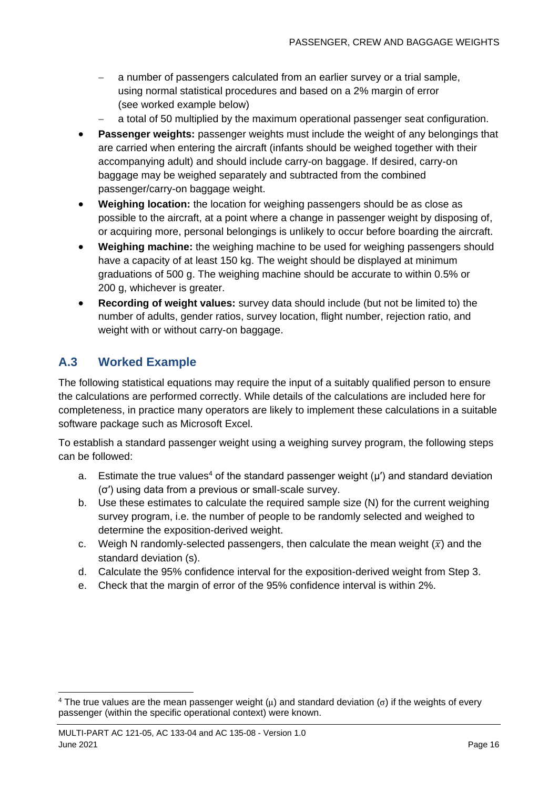- − a number of passengers calculated from an earlier survey or a trial sample, using normal statistical procedures and based on a 2% margin of error (see worked example below)
- a total of 50 multiplied by the maximum operational passenger seat configuration.
- **Passenger weights:** passenger weights must include the weight of any belongings that are carried when entering the aircraft (infants should be weighed together with their accompanying adult) and should include carry-on baggage. If desired, carry-on baggage may be weighed separately and subtracted from the combined passenger/carry-on baggage weight.
- **Weighing location:** the location for weighing passengers should be as close as possible to the aircraft, at a point where a change in passenger weight by disposing of, or acquiring more, personal belongings is unlikely to occur before boarding the aircraft.
- **Weighing machine:** the weighing machine to be used for weighing passengers should have a capacity of at least 150 kg. The weight should be displayed at minimum graduations of 500 g. The weighing machine should be accurate to within 0.5% or 200 g, whichever is greater.
- **Recording of weight values:** survey data should include (but not be limited to) the number of adults, gender ratios, survey location, flight number, rejection ratio, and weight with or without carry-on baggage.

### **A.3 Worked Example**

The following statistical equations may require the input of a suitably qualified person to ensure the calculations are performed correctly. While details of the calculations are included here for completeness, in practice many operators are likely to implement these calculations in a suitable software package such as Microsoft Excel.

To establish a standard passenger weight using a weighing survey program, the following steps can be followed:

- a. Estimate the true values<sup>4</sup> of the standard passenger weight  $(\mu')$  and standard deviation (σ′) using data from a previous or small-scale survey.
- b. Use these estimates to calculate the required sample size (N) for the current weighing survey program, i.e. the number of people to be randomly selected and weighed to determine the exposition-derived weight.
- c. Weigh N randomly-selected passengers, then calculate the mean weight  $(\overline{x})$  and the standard deviation (s).
- d. Calculate the 95% confidence interval for the exposition-derived weight from Step 3.
- e. Check that the margin of error of the 95% confidence interval is within 2%.

<sup>&</sup>lt;sup>4</sup> The true values are the mean passenger weight (μ) and standard deviation (σ) if the weights of every passenger (within the specific operational context) were known.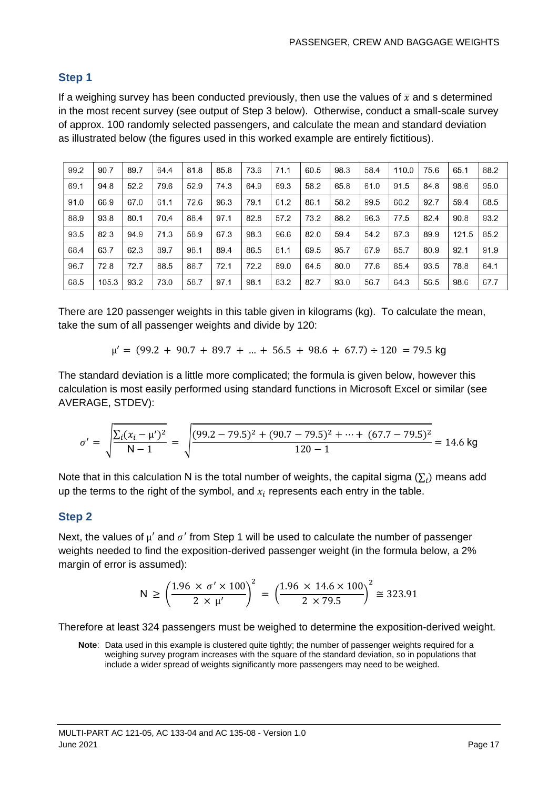#### **Step 1**

If a weighing survey has been conducted previously, then use the values of  $\bar{x}$  and s determined in the most recent survey (see output of Step 3 below). Otherwise, conduct a small-scale survey of approx. 100 randomly selected passengers, and calculate the mean and standard deviation as illustrated below (the figures used in this worked example are entirely fictitious).

| 99.2 | 90.7  | 89.7 | 64.4 | 81.8 | 85.8 | 73.6 | 71.1 | 60.5 | 98.3 | 58.4 | 110.0 | 75.6 | 65.1  | 88.2 |
|------|-------|------|------|------|------|------|------|------|------|------|-------|------|-------|------|
| 69.1 | 94.8  | 52.2 | 79.6 | 52.9 | 74.3 | 64.9 | 69.3 | 58.2 | 65.8 | 61.0 | 91.5  | 84.8 | 98.6  | 95.0 |
| 91.0 | 66.9  | 67.0 | 61.1 | 72.6 | 96.3 | 79.1 | 61.2 | 86.1 | 58.2 | 99.5 | 60.2  | 92.7 | 59.4  | 68.5 |
| 88.9 | 93.8  | 80.1 | 70.4 | 88.4 | 97.1 | 82.8 | 57.2 | 73.2 | 88.2 | 96.3 | 77.5  | 82.4 | 90.8  | 93.2 |
| 93.5 | 82.3  | 94.9 | 71.3 | 58.9 | 67.3 | 98.3 | 96.6 | 82.0 | 59.4 | 54.2 | 87.3  | 89.9 | 121.5 | 85.2 |
| 68.4 | 63.7  | 62.3 | 89.7 | 98.1 | 89.4 | 86.5 | 81.1 | 69.5 | 95.7 | 67.9 | 85.7  | 80.9 | 92.1  | 91.9 |
| 96.7 | 72.8  | 72.7 | 88.5 | 86.7 | 72.1 | 72.2 | 89.0 | 64.5 | 80.0 | 77.6 | 65.4  | 93.5 | 78.8  | 64.1 |
| 68.5 | 105.3 | 93.2 | 73.0 | 58.7 | 97.1 | 98.1 | 83.2 | 82.7 | 93.0 | 56.7 | 64.3  | 56.5 | 98.6  | 67.7 |

There are 120 passenger weights in this table given in kilograms (kg). To calculate the mean, take the sum of all passenger weights and divide by 120:

$$
\mu' = (99.2 + 90.7 + 89.7 + ... + 56.5 + 98.6 + 67.7) \div 120 = 79.5 \text{ kg}
$$

The standard deviation is a little more complicated; the formula is given below, however this calculation is most easily performed using standard functions in Microsoft Excel or similar (see AVERAGE, STDEV):

$$
\sigma' = \sqrt{\frac{\sum_{i}(x_i - \mu')^2}{N - 1}} = \sqrt{\frac{(99.2 - 79.5)^2 + (90.7 - 79.5)^2 + \dots + (67.7 - 79.5)^2}{120 - 1}} = 14.6 \text{ kg}
$$

Note that in this calculation N is the total number of weights, the capital sigma  $(\Sigma_i)$  means add up the terms to the right of the symbol, and  $x_i$  represents each entry in the table.

#### **Step 2**

Next, the values of  $\mu'$  and  $\sigma'$  from Step 1 will be used to calculate the number of passenger weights needed to find the exposition-derived passenger weight (in the formula below, a 2% margin of error is assumed):

$$
N \ge \left(\frac{1.96 \times \sigma' \times 100}{2 \times \mu'}\right)^2 = \left(\frac{1.96 \times 14.6 \times 100}{2 \times 79.5}\right)^2 \approx 323.91
$$

Therefore at least 324 passengers must be weighed to determine the exposition-derived weight.

**Note**: Data used in this example is clustered quite tightly; the number of passenger weights required for a weighing survey program increases with the square of the standard deviation, so in populations that include a wider spread of weights significantly more passengers may need to be weighed.